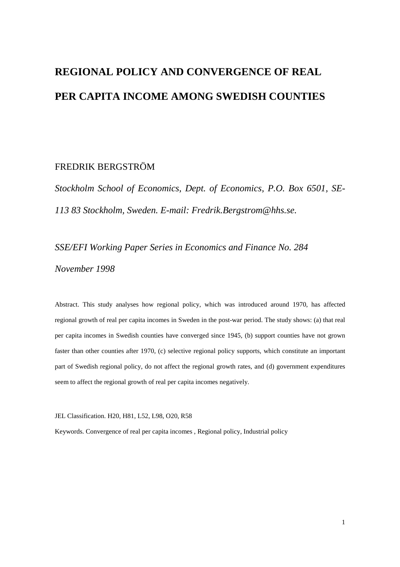# **REGIONAL POLICY AND CONVERGENCE OF REAL PER CAPITA INCOME AMONG SWEDISH COUNTIES**

### FREDRIK BERGSTRÖM

*Stockholm School of Economics, Dept. of Economics, P.O. Box 6501, SE-113 83 Stockholm, Sweden. E-mail: Fredrik.Bergstrom@hhs.se.*

*SSE/EFI Working Paper Series in Economics and Finance No. 284 November 1998*

Abstract. This study analyses how regional policy, which was introduced around 1970, has affected regional growth of real per capita incomes in Sweden in the post-war period. The study shows: (a) that real per capita incomes in Swedish counties have converged since 1945, (b) support counties have not grown faster than other counties after 1970, (c) selective regional policy supports, which constitute an important part of Swedish regional policy, do not affect the regional growth rates, and (d) government expenditures seem to affect the regional growth of real per capita incomes negatively.

JEL Classification. H20, H81, L52, L98, O20, R58

Keywords. Convergence of real per capita incomes , Regional policy, Industrial policy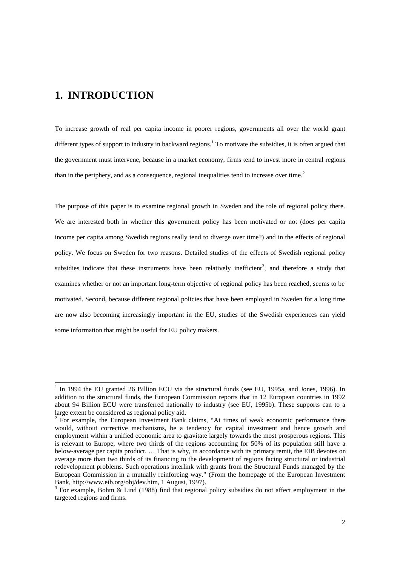### **1. INTRODUCTION**

To increase growth of real per capita income in poorer regions, governments all over the world grant different types of support to industry in backward regions.<sup>1</sup> To motivate the subsidies, it is often argued that the government must intervene, because in a market economy, firms tend to invest more in central regions than in the periphery, and as a consequence, regional inequalities tend to increase over time.<sup>2</sup>

The purpose of this paper is to examine regional growth in Sweden and the role of regional policy there. We are interested both in whether this government policy has been motivated or not (does per capita income per capita among Swedish regions really tend to diverge over time?) and in the effects of regional policy. We focus on Sweden for two reasons. Detailed studies of the effects of Swedish regional policy subsidies indicate that these instruments have been relatively inefficient<sup>3</sup>, and therefore a study that examines whether or not an important long-term objective of regional policy has been reached, seems to be motivated. Second, because different regional policies that have been employed in Sweden for a long time are now also becoming increasingly important in the EU, studies of the Swedish experiences can yield some information that might be useful for EU policy makers.

<sup>&</sup>lt;sup>1</sup> In 1994 the EU granted 26 Billion ECU via the structural funds (see EU, 1995a, and Jones, 1996). In addition to the structural funds, the European Commission reports that in 12 European countries in 1992 about 94 Billion ECU were transferred nationally to industry (see EU, 1995b). These supports can to a large extent be considered as regional policy aid.

 $2$  For example, the European Investment Bank claims, "At times of weak economic performance there would, without corrective mechanisms, be a tendency for capital investment and hence growth and employment within a unified economic area to gravitate largely towards the most prosperous regions. This is relevant to Europe, where two thirds of the regions accounting for 50% of its population still have a below-average per capita product. … That is why, in accordance with its primary remit, the EIB devotes on average more than two thirds of its financing to the development of regions facing structural or industrial redevelopment problems. Such operations interlink with grants from the Structural Funds managed by the European Commission in a mutually reinforcing way." (From the homepage of the European Investment Bank, http://www.eib.org/obj/dev.htm, 1 August, 1997).

<sup>3</sup> For example, Bohm & Lind (1988) find that regional policy subsidies do not affect employment in the targeted regions and firms.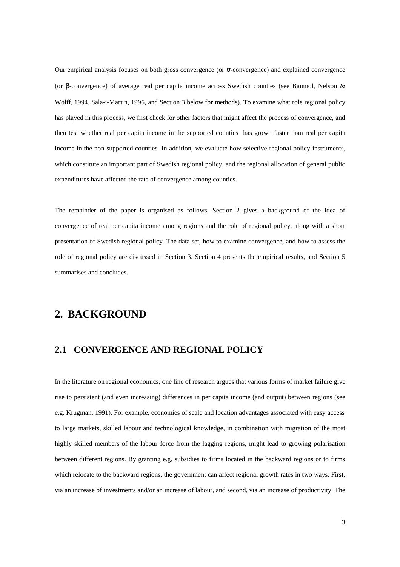Our empirical analysis focuses on both gross convergence (or σ-convergence) and explained convergence (or β-convergence) of average real per capita income across Swedish counties (see Baumol, Nelson & Wolff, 1994, Sala-i-Martin, 1996, and Section 3 below for methods). To examine what role regional policy has played in this process, we first check for other factors that might affect the process of convergence, and then test whether real per capita income in the supported counties has grown faster than real per capita income in the non-supported counties. In addition, we evaluate how selective regional policy instruments, which constitute an important part of Swedish regional policy, and the regional allocation of general public expenditures have affected the rate of convergence among counties.

The remainder of the paper is organised as follows. Section 2 gives a background of the idea of convergence of real per capita income among regions and the role of regional policy, along with a short presentation of Swedish regional policy. The data set, how to examine convergence, and how to assess the role of regional policy are discussed in Section 3. Section 4 presents the empirical results, and Section 5 summarises and concludes.

### **2. BACKGROUND**

#### **2.1 CONVERGENCE AND REGIONAL POLICY**

In the literature on regional economics, one line of research argues that various forms of market failure give rise to persistent (and even increasing) differences in per capita income (and output) between regions (see e.g. Krugman, 1991). For example, economies of scale and location advantages associated with easy access to large markets, skilled labour and technological knowledge, in combination with migration of the most highly skilled members of the labour force from the lagging regions, might lead to growing polarisation between different regions. By granting e.g. subsidies to firms located in the backward regions or to firms which relocate to the backward regions, the government can affect regional growth rates in two ways. First, via an increase of investments and/or an increase of labour, and second, via an increase of productivity. The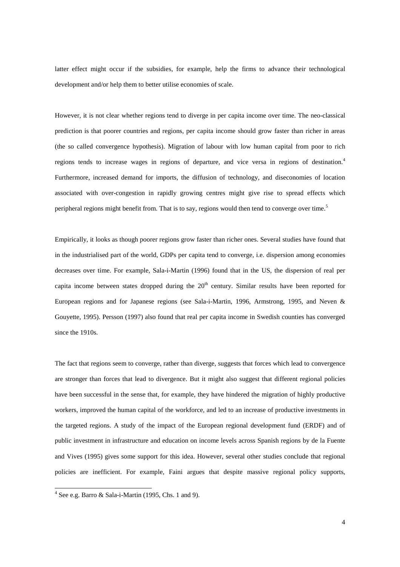latter effect might occur if the subsidies, for example, help the firms to advance their technological development and/or help them to better utilise economies of scale.

However, it is not clear whether regions tend to diverge in per capita income over time. The neo-classical prediction is that poorer countries and regions, per capita income should grow faster than richer in areas (the so called convergence hypothesis). Migration of labour with low human capital from poor to rich regions tends to increase wages in regions of departure, and vice versa in regions of destination.<sup>4</sup> Furthermore, increased demand for imports, the diffusion of technology, and diseconomies of location associated with over-congestion in rapidly growing centres might give rise to spread effects which peripheral regions might benefit from. That is to say, regions would then tend to converge over time.<sup>5</sup>

Empirically, it looks as though poorer regions grow faster than richer ones. Several studies have found that in the industrialised part of the world, GDPs per capita tend to converge, i.e. dispersion among economies decreases over time. For example, Sala-i-Martin (1996) found that in the US, the dispersion of real per capita income between states dropped during the  $20<sup>th</sup>$  century. Similar results have been reported for European regions and for Japanese regions (see Sala-i-Martin, 1996, Armstrong, 1995, and Neven & Gouyette, 1995). Persson (1997) also found that real per capita income in Swedish counties has converged since the 1910s.

The fact that regions seem to converge, rather than diverge, suggests that forces which lead to convergence are stronger than forces that lead to divergence. But it might also suggest that different regional policies have been successful in the sense that, for example, they have hindered the migration of highly productive workers, improved the human capital of the workforce, and led to an increase of productive investments in the targeted regions. A study of the impact of the European regional development fund (ERDF) and of public investment in infrastructure and education on income levels across Spanish regions by de la Fuente and Vives (1995) gives some support for this idea. However, several other studies conclude that regional policies are inefficient. For example, Faini argues that despite massive regional policy supports,

 4 See e.g. Barro & Sala-i-Martin (1995, Chs. 1 and 9).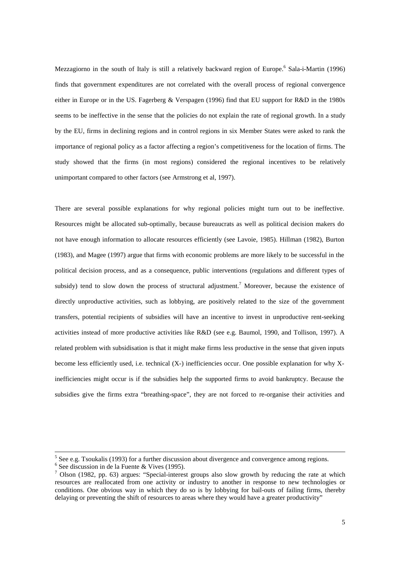Mezzagiorno in the south of Italy is still a relatively backward region of Europe.<sup>6</sup> Sala-i-Martin (1996) finds that government expenditures are not correlated with the overall process of regional convergence either in Europe or in the US. Fagerberg & Verspagen (1996) find that EU support for R&D in the 1980s seems to be ineffective in the sense that the policies do not explain the rate of regional growth. In a study by the EU, firms in declining regions and in control regions in six Member States were asked to rank the importance of regional policy as a factor affecting a region's competitiveness for the location of firms. The study showed that the firms (in most regions) considered the regional incentives to be relatively unimportant compared to other factors (see Armstrong et al, 1997).

There are several possible explanations for why regional policies might turn out to be ineffective. Resources might be allocated sub-optimally, because bureaucrats as well as political decision makers do not have enough information to allocate resources efficiently (see Lavoie, 1985). Hillman (1982), Burton (1983), and Magee (1997) argue that firms with economic problems are more likely to be successful in the political decision process, and as a consequence, public interventions (regulations and different types of subsidy) tend to slow down the process of structural adjustment.<sup>7</sup> Moreover, because the existence of directly unproductive activities, such as lobbying, are positively related to the size of the government transfers, potential recipients of subsidies will have an incentive to invest in unproductive rent-seeking activities instead of more productive activities like R&D (see e.g. Baumol, 1990, and Tollison, 1997). A related problem with subsidisation is that it might make firms less productive in the sense that given inputs become less efficiently used, i.e. technical (X-) inefficiencies occur. One possible explanation for why Xinefficiencies might occur is if the subsidies help the supported firms to avoid bankruptcy. Because the subsidies give the firms extra "breathing-space", they are not forced to re-organise their activities and

 $<sup>5</sup>$  See e.g. Tsoukalis (1993) for a further discussion about divergence and convergence among regions.</sup>

<sup>6</sup> See discussion in de la Fuente & Vives (1995).

<sup>&</sup>lt;sup>7</sup> Olson (1982, pp. 63) argues: "Special-interest groups also slow growth by reducing the rate at which resources are reallocated from one activity or industry to another in response to new technologies or conditions. One obvious way in which they do so is by lobbying for bail-outs of failing firms, thereby delaying or preventing the shift of resources to areas where they would have a greater productivity"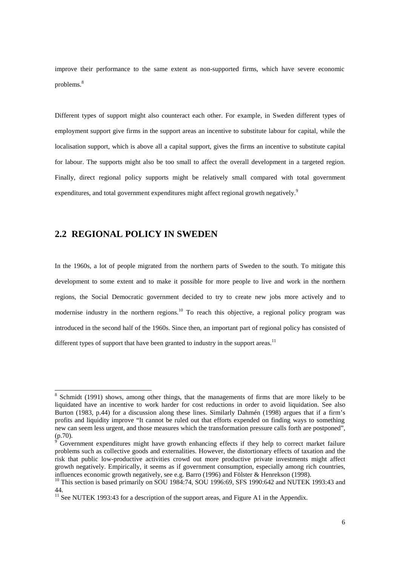improve their performance to the same extent as non-supported firms, which have severe economic problems.<sup>8</sup>

Different types of support might also counteract each other. For example, in Sweden different types of employment support give firms in the support areas an incentive to substitute labour for capital, while the localisation support, which is above all a capital support, gives the firms an incentive to substitute capital for labour. The supports might also be too small to affect the overall development in a targeted region. Finally, direct regional policy supports might be relatively small compared with total government expenditures, and total government expenditures might affect regional growth negatively.<sup>9</sup>

### **2.2 REGIONAL POLICY IN SWEDEN**

In the 1960s, a lot of people migrated from the northern parts of Sweden to the south. To mitigate this development to some extent and to make it possible for more people to live and work in the northern regions, the Social Democratic government decided to try to create new jobs more actively and to modernise industry in the northern regions.<sup>10</sup> To reach this objective, a regional policy program was introduced in the second half of the 1960s. Since then, an important part of regional policy has consisted of different types of support that have been granted to industry in the support areas.<sup>11</sup>

<sup>&</sup>lt;sup>8</sup> Schmidt (1991) shows, among other things, that the managements of firms that are more likely to be liquidated have an incentive to work harder for cost reductions in order to avoid liquidation. See also Burton (1983, p.44) for a discussion along these lines. Similarly Dahmén (1998) argues that if a firm's profits and liquidity improve "It cannot be ruled out that efforts expended on finding ways to something new can seem less urgent, and those measures which the transformation pressure calls forth are postponed",  $(p.70)$ .

Government expenditures might have growth enhancing effects if they help to correct market failure problems such as collective goods and externalities. However, the distortionary effects of taxation and the risk that public low-productive activities crowd out more productive private investments might affect growth negatively. Empirically, it seems as if government consumption, especially among rich countries, influences economic growth negatively, see e.g. Barro (1996) and Fölster & Henrekson (1998).

<sup>&</sup>lt;sup>10</sup> This section is based primarily on SOU 1984:74, SOU 1996:69, SFS 1990:642 and NUTEK 1993:43 and 44.

<sup>&</sup>lt;sup>11</sup> See NUTEK 1993:43 for a description of the support areas, and Figure A1 in the Appendix.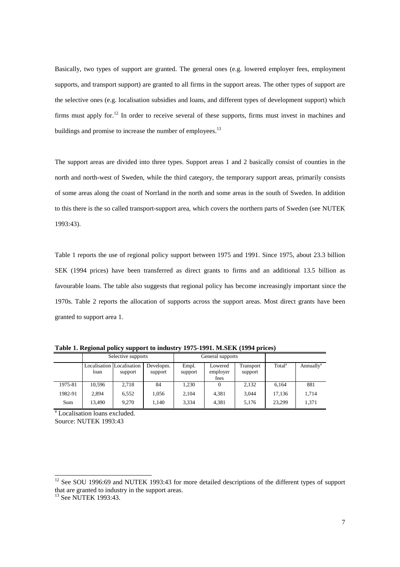Basically, two types of support are granted. The general ones (e.g. lowered employer fees, employment supports, and transport support) are granted to all firms in the support areas. The other types of support are the selective ones (e.g. localisation subsidies and loans, and different types of development support) which firms must apply for.<sup>12</sup> In order to receive several of these supports, firms must invest in machines and buildings and promise to increase the number of employees.<sup>13</sup>

The support areas are divided into three types. Support areas 1 and 2 basically consist of counties in the north and north-west of Sweden, while the third category, the temporary support areas, primarily consists of some areas along the coast of Norrland in the north and some areas in the south of Sweden. In addition to this there is the so called transport-support area, which covers the northern parts of Sweden (see NUTEK 1993:43).

Table 1 reports the use of regional policy support between 1975 and 1991. Since 1975, about 23.3 billion SEK (1994 prices) have been transferred as direct grants to firms and an additional 13.5 billion as favourable loans. The table also suggests that regional policy has become increasingly important since the 1970s. Table 2 reports the allocation of supports across the support areas. Most direct grants have been granted to support area 1.

|         | Selective supports |                                      |                      | General supports |                             |                      |                    |                       |
|---------|--------------------|--------------------------------------|----------------------|------------------|-----------------------------|----------------------|--------------------|-----------------------|
|         | loan               | Localisation Localisation<br>support | Developm.<br>support | Empl.<br>support | Lowered<br>employer<br>fees | Transport<br>support | Total <sup>a</sup> | Annually <sup>a</sup> |
| 1975-81 | 10.596             | 2.718                                | 84                   | 1,230            |                             | 2.132                | 6.164              | 881                   |
| 1982-91 | 2.894              | 6.552                                | 1.056                | 2,104            | 4.381                       | 3.044                | 17.136             | 1,714                 |
| Sum     | 13.490             | 9.270                                | 1.140                | 3,334            | 4.381                       | 5.176                | 23.299             | 1,371                 |

**Table 1. Regional policy support to industry 1975-1991. M.SEK (1994 prices)**

<sup>a</sup> Localisation loans excluded. Source: NUTEK 1993:43

l

 $12$  See SOU 1996:69 and NUTEK 1993:43 for more detailed descriptions of the different types of support that are granted to industry in the support areas.

<sup>&</sup>lt;sup>13</sup> See NUTEK 1993:43.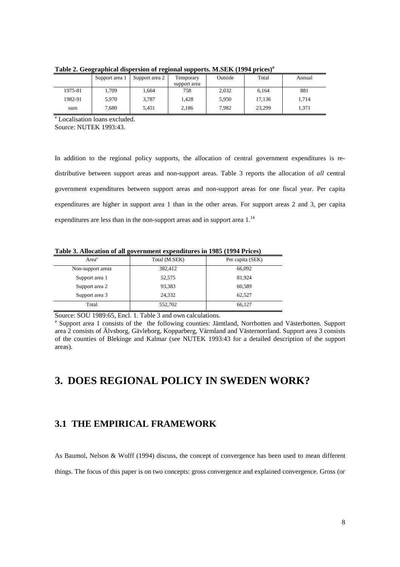|         | Support area 1 | Support area 2 | Temporary    | Outside | Total  | Annual |
|---------|----------------|----------------|--------------|---------|--------|--------|
|         |                |                | support area |         |        |        |
| 1975-81 | .709           | 1.664          | 758          | 2,032   | 6,164  | 881    |
| 1982-91 | 5,970          | 3,787          | 1,428        | 5,950   | 17,136 | 1.714  |
| sum     | 7,680          | 5.451          | 2,186        | 7.982   | 23.299 | 1.371  |

**Table 2. Geographical dispersion of regional supports. M.SEK (1994 prices)<sup>a</sup>**

a Localisation loans excluded.

Source: NUTEK 1993:43.

In addition to the regional policy supports, the allocation of central government expenditures is redistributive between support areas and non-support areas. Table 3 reports the allocation of *all* central government expenditures between support areas and non-support areas for one fiscal year. Per capita expenditures are higher in support area 1 than in the other areas. For support areas 2 and 3, per capita expenditures are less than in the non-support areas and in support area 1.<sup>14</sup>

**Table 3. Allocation of all government expenditures in 1985 (1994 Prices)**

| Area <sup>a</sup> | Total (M.SEK) | Per capita (SEK) |
|-------------------|---------------|------------------|
| Non-support areas | 382,412       | 66,092           |
| Support area 1    | 52,575        | 81,924           |
| Support area 2    | 93,383        | 60,589           |
| Support area 3    | 24.332        | 62,527           |
| Total             | 552,702       | 66,127           |

Source: SOU 1989:65, Encl. 1. Table 3 and own calculations.

<sup>a</sup> Support area 1 consists of the the following counties: Jämtland, Norrbotten and Västerbotten. Support area 2 consists of Älvsborg, Gävleborg, Kopparberg, Värmland and Västernorrland. Support area 3 consists of the counties of Blekinge and Kalmar (see NUTEK 1993:43 for a detailed description of the support areas).

## **3. DOES REGIONAL POLICY IN SWEDEN WORK?**

### **3.1 THE EMPIRICAL FRAMEWORK**

As Baumol, Nelson & Wolff (1994) discuss, the concept of convergence has been used to mean different

things. The focus of this paper is on two concepts: gross convergence and explained convergence. Gross (or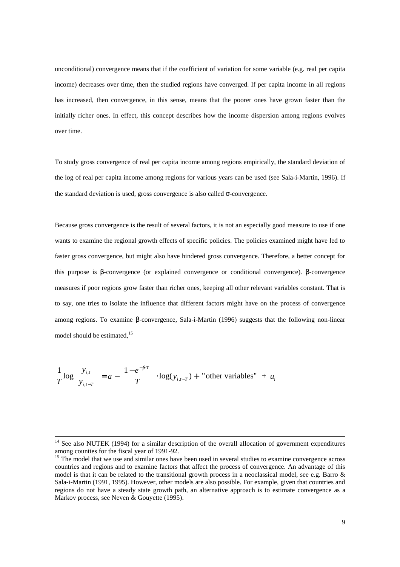unconditional) convergence means that if the coefficient of variation for some variable (e.g. real per capita income) decreases over time, then the studied regions have converged. If per capita income in all regions has increased, then convergence, in this sense, means that the poorer ones have grown faster than the initially richer ones. In effect, this concept describes how the income dispersion among regions evolves over time.

To study gross convergence of real per capita income among regions empirically, the standard deviation of the log of real per capita income among regions for various years can be used (see Sala-i-Martin, 1996). If the standard deviation is used, gross convergence is also called σ-convergence.

Because gross convergence is the result of several factors, it is not an especially good measure to use if one wants to examine the regional growth effects of specific policies. The policies examined might have led to faster gross convergence, but might also have hindered gross convergence. Therefore, a better concept for this purpose is β-convergence (or explained convergence or conditional convergence). β-convergence measures if poor regions grow faster than richer ones, keeping all other relevant variables constant. That is to say, one tries to isolate the influence that different factors might have on the process of convergence among regions. To examine β-convergence, Sala-i-Martin (1996) suggests that the following non-linear model should be estimated,<sup>15</sup>

$$
\frac{1}{T}\log\left(\frac{y_{i,t}}{y_{i,t-T}}\right) = a - \left(\frac{1 - e^{-\beta T}}{T}\right) \cdot \log(y_{i,t-T}) + \text{"other variables"} + u_i
$$

<sup>&</sup>lt;sup>14</sup> See also NUTEK (1994) for a similar description of the overall allocation of government expenditures among counties for the fiscal year of 1991-92.

<sup>&</sup>lt;sup>15</sup> The model that we use and similar ones have been used in several studies to examine convergence across countries and regions and to examine factors that affect the process of convergence. An advantage of this model is that it can be related to the transitional growth process in a neoclassical model, see e.g. Barro & Sala-i-Martin (1991, 1995). However, other models are also possible. For example, given that countries and regions do not have a steady state growth path, an alternative approach is to estimate convergence as a Markov process, see Neven & Gouvette (1995).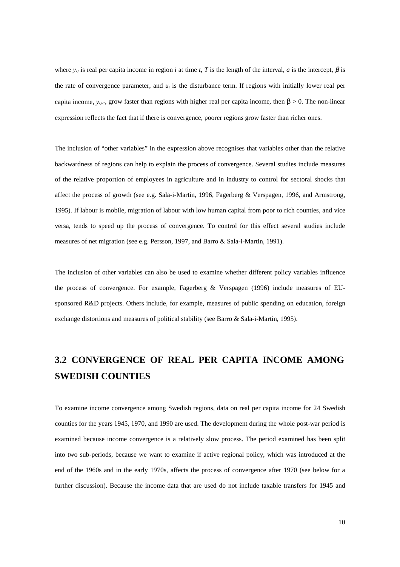where  $y_{i,j}$  is real per capita income in region *i* at time *t*, *T* is the length of the interval, *a* is the intercept,  $\beta$  is the rate of convergence parameter, and  $u_i$  is the disturbance term. If regions with initially lower real per capita income,  $y_{i,r}$ , grow faster than regions with higher real per capita income, then  $\beta > 0$ . The non-linear expression reflects the fact that if there is convergence, poorer regions grow faster than richer ones.

The inclusion of "other variables" in the expression above recognises that variables other than the relative backwardness of regions can help to explain the process of convergence. Several studies include measures of the relative proportion of employees in agriculture and in industry to control for sectoral shocks that affect the process of growth (see e.g. Sala-i-Martin, 1996, Fagerberg & Verspagen, 1996, and Armstrong, 1995). If labour is mobile, migration of labour with low human capital from poor to rich counties, and vice versa, tends to speed up the process of convergence. To control for this effect several studies include measures of net migration (see e.g. Persson, 1997, and Barro & Sala-i-Martin, 1991).

The inclusion of other variables can also be used to examine whether different policy variables influence the process of convergence. For example, Fagerberg & Verspagen (1996) include measures of EUsponsored R&D projects. Others include, for example, measures of public spending on education, foreign exchange distortions and measures of political stability (see Barro & Sala-i-Martin, 1995).

# **3.2 CONVERGENCE OF REAL PER CAPITA INCOME AMONG SWEDISH COUNTIES**

To examine income convergence among Swedish regions, data on real per capita income for 24 Swedish counties for the years 1945, 1970, and 1990 are used. The development during the whole post-war period is examined because income convergence is a relatively slow process. The period examined has been split into two sub-periods, because we want to examine if active regional policy, which was introduced at the end of the 1960s and in the early 1970s, affects the process of convergence after 1970 (see below for a further discussion). Because the income data that are used do not include taxable transfers for 1945 and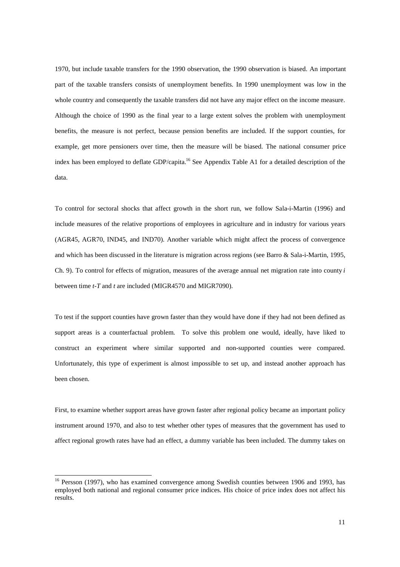1970, but include taxable transfers for the 1990 observation, the 1990 observation is biased. An important part of the taxable transfers consists of unemployment benefits. In 1990 unemployment was low in the whole country and consequently the taxable transfers did not have any major effect on the income measure. Although the choice of 1990 as the final year to a large extent solves the problem with unemployment benefits, the measure is not perfect, because pension benefits are included. If the support counties, for example, get more pensioners over time, then the measure will be biased. The national consumer price index has been employed to deflate GDP/capita.16 See Appendix Table A1 for a detailed description of the data.

To control for sectoral shocks that affect growth in the short run, we follow Sala-i-Martin (1996) and include measures of the relative proportions of employees in agriculture and in industry for various years (AGR45, AGR70, IND45, and IND70). Another variable which might affect the process of convergence and which has been discussed in the literature is migration across regions (see Barro & Sala-i-Martin, 1995, Ch. 9). To control for effects of migration, measures of the average annual net migration rate into county *i* between time *t-T* and *t* are included (MIGR4570 and MIGR7090).

To test if the support counties have grown faster than they would have done if they had not been defined as support areas is a counterfactual problem. To solve this problem one would, ideally, have liked to construct an experiment where similar supported and non-supported counties were compared. Unfortunately, this type of experiment is almost impossible to set up, and instead another approach has been chosen.

First, to examine whether support areas have grown faster after regional policy became an important policy instrument around 1970, and also to test whether other types of measures that the government has used to affect regional growth rates have had an effect, a dummy variable has been included. The dummy takes on

l

<sup>&</sup>lt;sup>16</sup> Persson (1997), who has examined convergence among Swedish counties between 1906 and 1993, has employed both national and regional consumer price indices. His choice of price index does not affect his results.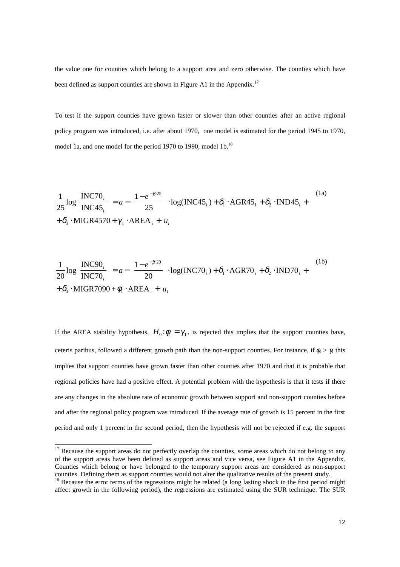the value one for counties which belong to a support area and zero otherwise. The counties which have been defined as support counties are shown in Figure A1 in the Appendix.<sup>17</sup>

To test if the support counties have grown faster or slower than other counties after an active regional policy program was introduced, i.e. after about 1970, one model is estimated for the period 1945 to 1970, model 1a, and one model for the period 1970 to 1990, model 1b.<sup>18</sup>

$$
\frac{1}{25}\log\left(\frac{\text{INC70}_i}{\text{INC45}_i}\right) = a - \left(\frac{1 - e^{-\beta 25}}{25}\right) \cdot \log(\text{INC45}_i) + \delta_i \cdot \text{AGR45}_i + \delta_2 \cdot \text{IND45}_i + \delta_3 \cdot \text{MIGR4570} + \gamma_1 \cdot \text{AREA}_i + u_i
$$
\n(1a)

$$
\frac{1}{20}\log\left(\frac{\text{INC90}_i}{\text{INC70}_i}\right) = a - \left(\frac{1 - e^{-\beta \cdot 20}}{20}\right) \cdot \log(\text{INC70}_i) + \delta_i \cdot \text{AGR70}_i + \delta_2 \cdot \text{IND70}_i + \delta_3 \cdot \text{MIGR7090} + \phi_i \cdot \text{AREA}_i + u_i
$$
\n<sup>(1b)</sup>

If the AREA stability hypothesis,  $H_0: \phi_1 = \gamma_1$ , is rejected this implies that the support counties have, ceteris paribus, followed a different growth path than the non-support counties. For instance, if  $\phi$ <sub>*l*</sub> >  $\gamma$ <sub>*l*</sub> this implies that support counties have grown faster than other counties after 1970 and that it is probable that regional policies have had a positive effect. A potential problem with the hypothesis is that it tests if there are any changes in the absolute rate of economic growth between support and non-support counties before and after the regional policy program was introduced. If the average rate of growth is 15 percent in the first period and only 1 percent in the second period, then the hypothesis will not be rejected if e.g. the support

-

<sup>&</sup>lt;sup>17</sup> Because the support areas do not perfectly overlap the counties, some areas which do not belong to any of the support areas have been defined as support areas and vice versa, see Figure A1 in the Appendix. Counties which belong or have belonged to the temporary support areas are considered as non-support counties. Defining them as support counties would not alter the qualitative results of the present study.

<sup>&</sup>lt;sup>18</sup> Because the error terms of the regressions might be related (a long lasting shock in the first period might affect growth in the following period), the regressions are estimated using the SUR technique. The SUR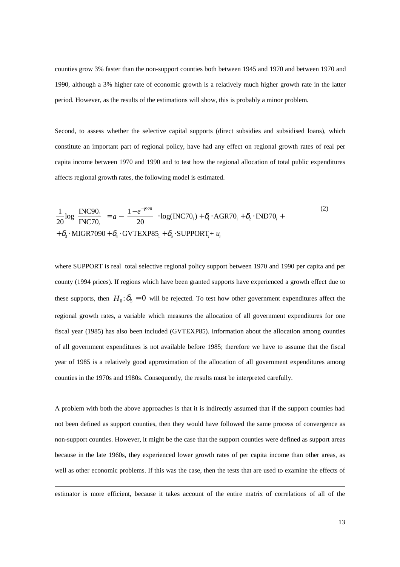counties grow 3% faster than the non-support counties both between 1945 and 1970 and between 1970 and 1990, although a 3% higher rate of economic growth is a relatively much higher growth rate in the latter period. However, as the results of the estimations will show, this is probably a minor problem.

Second, to assess whether the selective capital supports (direct subsidies and subsidised loans), which constitute an important part of regional policy, have had any effect on regional growth rates of real per capita income between 1970 and 1990 and to test how the regional allocation of total public expenditures affects regional growth rates, the following model is estimated.

$$
\frac{1}{20}\log\left(\frac{\text{INC90}_i}{\text{INC70}_i}\right) = a - \left(\frac{1 - e^{-\beta 20}}{20}\right) \cdot \log(\text{INC70}_i) + \delta_i \cdot \text{AGR70}_i + \delta_2 \cdot \text{IND70}_i + + \delta_3 \cdot \text{MIGR7090} + \delta_4 \cdot \text{GVTEXPS5}_i + \delta_5 \cdot \text{SUPPORT}_i + u_i
$$
\n(2)

where SUPPORT is real total selective regional policy support between 1970 and 1990 per capita and per county (1994 prices). If regions which have been granted supports have experienced a growth effect due to these supports, then  $H_0: \delta_5 = 0$  will be rejected. To test how other government expenditures affect the regional growth rates, a variable which measures the allocation of all government expenditures for one fiscal year (1985) has also been included (GVTEXP85). Information about the allocation among counties of all government expenditures is not available before 1985; therefore we have to assume that the fiscal year of 1985 is a relatively good approximation of the allocation of all government expenditures among counties in the 1970s and 1980s. Consequently, the results must be interpreted carefully.

A problem with both the above approaches is that it is indirectly assumed that if the support counties had not been defined as support counties, then they would have followed the same process of convergence as non-support counties. However, it might be the case that the support counties were defined as support areas because in the late 1960s, they experienced lower growth rates of per capita income than other areas, as well as other economic problems. If this was the case, then the tests that are used to examine the effects of

-

estimator is more efficient, because it takes account of the entire matrix of correlations of all of the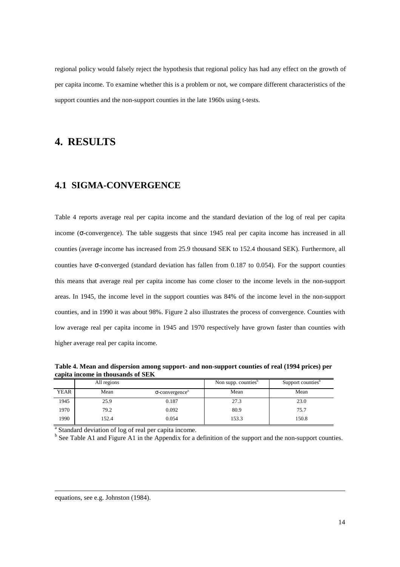regional policy would falsely reject the hypothesis that regional policy has had any effect on the growth of per capita income. To examine whether this is a problem or not, we compare different characteristics of the support counties and the non-support counties in the late 1960s using t-tests.

### **4. RESULTS**

#### **4.1 SIGMA-CONVERGENCE**

Table 4 reports average real per capita income and the standard deviation of the log of real per capita income (σ-convergence). The table suggests that since 1945 real per capita income has increased in all counties (average income has increased from 25.9 thousand SEK to 152.4 thousand SEK). Furthermore, all counties have σ-converged (standard deviation has fallen from 0.187 to 0.054). For the support counties this means that average real per capita income has come closer to the income levels in the non-support areas. In 1945, the income level in the support counties was 84% of the income level in the non-support counties, and in 1990 it was about 98%. Figure 2 also illustrates the process of convergence. Counties with low average real per capita income in 1945 and 1970 respectively have grown faster than counties with higher average real per capita income.

**Table 4. Mean and dispersion among support- and non-support counties of real (1994 prices) per capita income in thousands of SEK**

|             | All regions |                                    | Non supp. counties <sup>b</sup> | Support counties <sup>b</sup> |
|-------------|-------------|------------------------------------|---------------------------------|-------------------------------|
| <b>YEAR</b> | Mean        | $\sigma$ -convergence <sup>a</sup> | Mean                            | Mean                          |
| 1945        | 25.9        | 0.187                              | 27.3                            | 23.0                          |
| 1970        | 79.2        | 0.092                              | 80.9                            | 75.7                          |
| 1990        | 152.4       | 0.054                              | 153.3                           | 150.8                         |

<sup>a</sup> Standard deviation of log of real per capita income.

<sup>b</sup> See Table A1 and Figure A1 in the Appendix for a definition of the support and the non-support counties.

l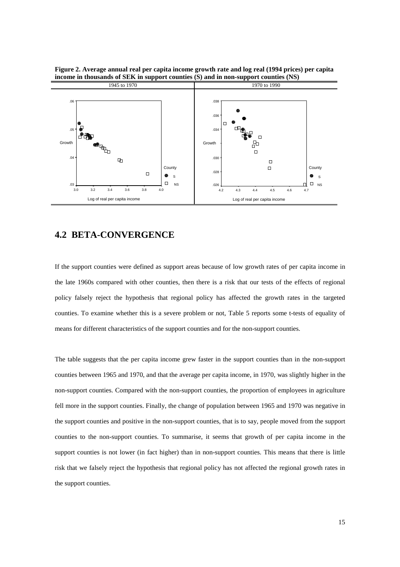

**Figure 2. Average annual real per capita income growth rate and log real (1994 prices) per capita income in thousands of SEK in support counties (S) and in non-support counties (NS)**

#### **4.2 BETA-CONVERGENCE**

If the support counties were defined as support areas because of low growth rates of per capita income in the late 1960s compared with other counties, then there is a risk that our tests of the effects of regional policy falsely reject the hypothesis that regional policy has affected the growth rates in the targeted counties. To examine whether this is a severe problem or not, Table 5 reports some t-tests of equality of means for different characteristics of the support counties and for the non-support counties.

The table suggests that the per capita income grew faster in the support counties than in the non-support counties between 1965 and 1970, and that the average per capita income, in 1970, was slightly higher in the non-support counties. Compared with the non-support counties, the proportion of employees in agriculture fell more in the support counties. Finally, the change of population between 1965 and 1970 was negative in the support counties and positive in the non-support counties, that is to say, people moved from the support counties to the non-support counties. To summarise, it seems that growth of per capita income in the support counties is not lower (in fact higher) than in non-support counties. This means that there is little risk that we falsely reject the hypothesis that regional policy has not affected the regional growth rates in the support counties.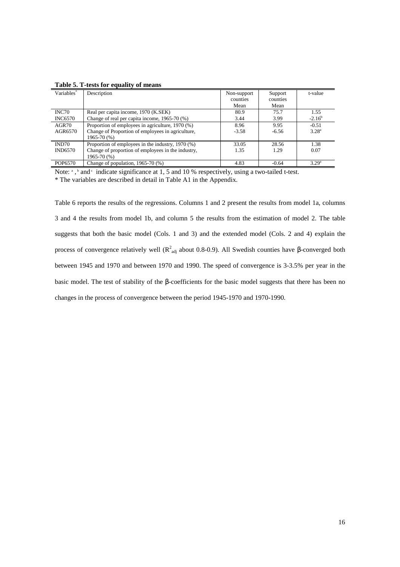| Variables <sup>*</sup> | Description                                        | Non-support | Support  | t-value           |
|------------------------|----------------------------------------------------|-------------|----------|-------------------|
|                        |                                                    | counties    | counties |                   |
|                        |                                                    | Mean        | Mean     |                   |
| INC70                  | Real per capita income, 1970 (K.SEK)               | 80.9        | 75.7     | 1.55              |
| <b>INC6570</b>         | Change of real per capita income, 1965-70 (%)      | 3.44        | 3.99     | $-2.16^b$         |
| AGR70                  | Proportion of employees in agriculture, 1970 (%)   | 8.96        | 9.95     | $-0.51$           |
| AGR6570                | Change of Proportion of employees in agriculture,  | $-3.58$     | $-6.56$  | $3.28^{a}$        |
|                        | 1965-70 (%)                                        |             |          |                   |
| IND70                  | Proportion of employees in the industry, 1970 (%)  | 33.05       | 28.56    | 1.38              |
| <b>IND6570</b>         | Change of proportion of employees in the industry, | 1.35        | 1.29     | 0.07              |
|                        | 1965-70 (%)                                        |             |          |                   |
| POP6570                | Change of population, $1965-70$ (%)                | 4.83        | $-0.64$  | 3.29 <sup>a</sup> |

**Table 5. T-tests for equality of means**

Note:  $\alpha$ ,  $\beta$  and  $\alpha$  indicate significance at 1, 5 and 10 % respectively, using a two-tailed t-test.

\* The variables are described in detail in Table A1 in the Appendix.

Table 6 reports the results of the regressions. Columns 1 and 2 present the results from model 1a, columns 3 and 4 the results from model 1b, and column 5 the results from the estimation of model 2. The table suggests that both the basic model (Cols. 1 and 3) and the extended model (Cols. 2 and 4) explain the process of convergence relatively well ( $R^2_{adj}$  about 0.8-0.9). All Swedish counties have β-converged both between 1945 and 1970 and between 1970 and 1990. The speed of convergence is 3-3.5% per year in the basic model. The test of stability of the β-coefficients for the basic model suggests that there has been no changes in the process of convergence between the period 1945-1970 and 1970-1990.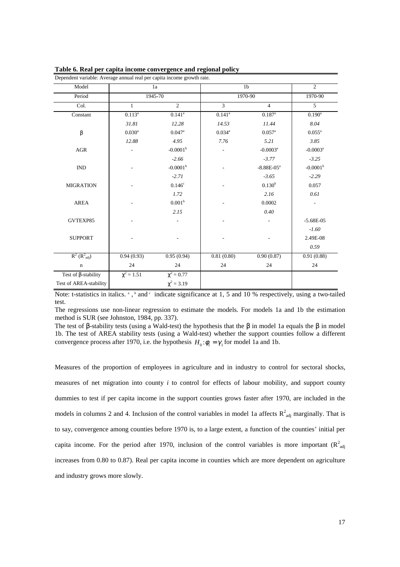| Dependent variable: Average annual real per capita income growth rate. |                      |                        |                |                        |                        |  |
|------------------------------------------------------------------------|----------------------|------------------------|----------------|------------------------|------------------------|--|
| Model                                                                  |                      | 1a                     |                | 1 <sub>b</sub>         |                        |  |
| Period                                                                 | 1945-70              |                        | 1970-90        |                        | 1970-90                |  |
| Col.                                                                   | $\mathbf{1}$         | $\overline{2}$         | $\overline{3}$ | $\overline{4}$         | $\overline{5}$         |  |
| Constant                                                               | $0.113^{a}$          | $0.141^{a}$            | $0.141^{a}$    | $0.187$ <sup>a</sup>   | $0.190^{\rm a}$        |  |
|                                                                        | 31.81                | 12.28                  | 14.53          | 11.44                  | 8.04                   |  |
| $\beta$                                                                | $0.030$ <sup>a</sup> | $0.047$ <sup>a</sup>   | $0.034^{a}$    | $0.057$ <sup>a</sup>   | $0.055^{\text{a}}$     |  |
|                                                                        | 12.88                | 4.95                   | 7.76           | 5.21                   | 3.85                   |  |
| AGR                                                                    |                      | $-0.0001b$             |                | $-0.0003$ <sup>a</sup> | $-0.0003$ <sup>a</sup> |  |
|                                                                        |                      | $-2.66$                |                | $-3.77$                | $-3.25$                |  |
| $\mathop{\rm IND}\nolimits$                                            |                      | $-0.0001$ <sup>b</sup> |                | $-8.88E - 05^a$        | $-0.0001^b$            |  |
|                                                                        |                      | $-2.71$                |                | $-3.65$                | $-2.29$                |  |
| <b>MIGRATION</b>                                                       |                      | 0.146 <sup>c</sup>     |                | 0.130 <sup>b</sup>     | 0.057                  |  |
|                                                                        |                      | 1.72                   |                | 2.16                   | 0.61                   |  |
| <b>AREA</b>                                                            |                      | 0.001 <sup>b</sup>     |                | 0.0002                 |                        |  |
|                                                                        |                      | 2.15                   |                | 0.40                   |                        |  |
| GVTEXP85                                                               |                      |                        |                |                        | $-5.68E-05$            |  |
|                                                                        |                      |                        |                |                        | $-1.60$                |  |
| <b>SUPPORT</b>                                                         |                      |                        |                |                        | 2.49E-08               |  |
|                                                                        |                      |                        |                |                        | 0.59                   |  |
| $R^2$ ( $R^2_{\text{adj}}$ )                                           | 0.94(0.93)           | 0.95(0.94)             | 0.81(0.80)     | 0.90(0.87)             | 0.91(0.88)             |  |
| $\mathbf n$                                                            | 24                   | 24                     | 24             | 24                     | 24                     |  |
| Test of $\beta$ -stability                                             | $\chi^2 = 1.51$      | $\chi^2 = 0.77$        |                |                        |                        |  |
| Test of AREA-stability                                                 |                      | $\chi^2 = 3.19$        |                |                        |                        |  |

**Table 6. Real per capita income convergence and regional policy**

Note: t-statistics in italics.  $\alpha$ ,  $\beta$  and  $\gamma$  indicate significance at 1, 5 and 10 % respectively, using a two-tailed test.

The regressions use non-linear regression to estimate the models. For models 1a and 1b the estimation method is SUR (see Johnston, 1984, pp. 337).

The test of β-stability tests (using a Wald-test) the hypothesis that the  $\beta$  in model 1a equals the  $\beta$  in model 1b. The test of AREA stability tests (using a Wald-test) whether the support counties follow a different convergence process after 1970, i.e. the hypothesis  $H_0: \phi_1 = \gamma_1$  for model 1a and 1b.

Measures of the proportion of employees in agriculture and in industry to control for sectoral shocks, measures of net migration into county *i* to control for effects of labour mobility, and support county dummies to test if per capita income in the support counties grows faster after 1970, are included in the models in columns 2 and 4. Inclusion of the control variables in model 1a affects  $R^2_{adj}$  marginally. That is to say, convergence among counties before 1970 is, to a large extent, a function of the counties' initial per capita income. For the period after 1970, inclusion of the control variables is more important ( $R^2_{adj}$ ) increases from 0.80 to 0.87). Real per capita income in counties which are more dependent on agriculture and industry grows more slowly.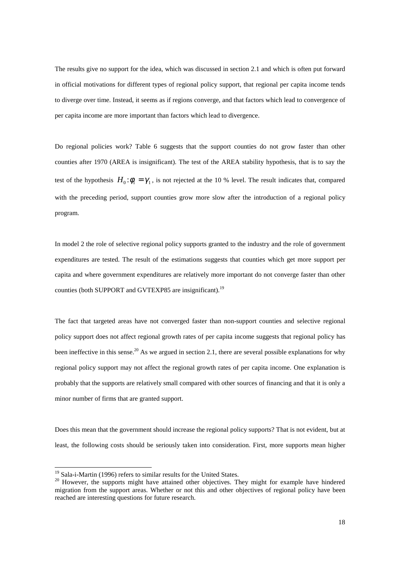The results give no support for the idea, which was discussed in section 2.1 and which is often put forward in official motivations for different types of regional policy support, that regional per capita income tends to diverge over time. Instead, it seems as if regions converge, and that factors which lead to convergence of per capita income are more important than factors which lead to divergence.

Do regional policies work? Table 6 suggests that the support counties do not grow faster than other counties after 1970 (AREA is insignificant). The test of the AREA stability hypothesis, that is to say the test of the hypothesis  $H_0: \phi_1 = \gamma_1$ , is not rejected at the 10 % level. The result indicates that, compared with the preceding period, support counties grow more slow after the introduction of a regional policy program.

In model 2 the role of selective regional policy supports granted to the industry and the role of government expenditures are tested. The result of the estimations suggests that counties which get more support per capita and where government expenditures are relatively more important do not converge faster than other counties (both SUPPORT and GVTEXP85 are insignificant).<sup>19</sup>

The fact that targeted areas have not converged faster than non-support counties and selective regional policy support does not affect regional growth rates of per capita income suggests that regional policy has been ineffective in this sense.<sup>20</sup> As we argued in section 2.1, there are several possible explanations for why regional policy support may not affect the regional growth rates of per capita income. One explanation is probably that the supports are relatively small compared with other sources of financing and that it is only a minor number of firms that are granted support.

Does this mean that the government should increase the regional policy supports? That is not evident, but at least, the following costs should be seriously taken into consideration. First, more supports mean higher

l

<sup>&</sup>lt;sup>19</sup> Sala-i-Martin (1996) refers to similar results for the United States.

<sup>&</sup>lt;sup>20</sup> However, the supports might have attained other objectives. They might for example have hindered migration from the support areas. Whether or not this and other objectives of regional policy have been reached are interesting questions for future research.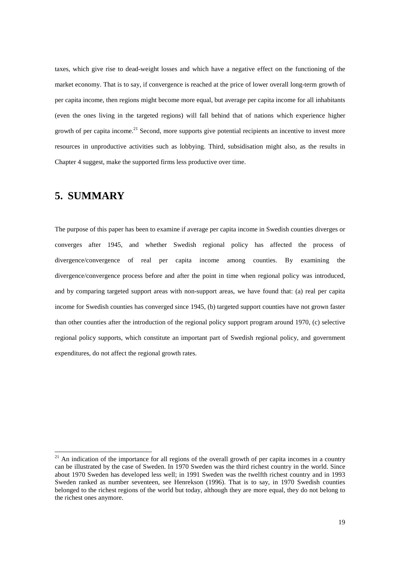taxes, which give rise to dead-weight losses and which have a negative effect on the functioning of the market economy. That is to say, if convergence is reached at the price of lower overall long-term growth of per capita income, then regions might become more equal, but average per capita income for all inhabitants (even the ones living in the targeted regions) will fall behind that of nations which experience higher growth of per capita income.<sup>21</sup> Second, more supports give potential recipients an incentive to invest more resources in unproductive activities such as lobbying. Third, subsidisation might also, as the results in Chapter 4 suggest, make the supported firms less productive over time.

### **5. SUMMARY**

-

The purpose of this paper has been to examine if average per capita income in Swedish counties diverges or converges after 1945, and whether Swedish regional policy has affected the process of divergence/convergence of real per capita income among counties. By examining the divergence/convergence process before and after the point in time when regional policy was introduced, and by comparing targeted support areas with non-support areas, we have found that: (a) real per capita income for Swedish counties has converged since 1945, (b) targeted support counties have not grown faster than other counties after the introduction of the regional policy support program around 1970, (c) selective regional policy supports, which constitute an important part of Swedish regional policy, and government expenditures, do not affect the regional growth rates.

 $21$  An indication of the importance for all regions of the overall growth of per capita incomes in a country can be illustrated by the case of Sweden. In 1970 Sweden was the third richest country in the world. Since about 1970 Sweden has developed less well; in 1991 Sweden was the twelfth richest country and in 1993 Sweden ranked as number seventeen, see Henrekson (1996). That is to say, in 1970 Swedish counties belonged to the richest regions of the world but today, although they are more equal, they do not belong to the richest ones anymore.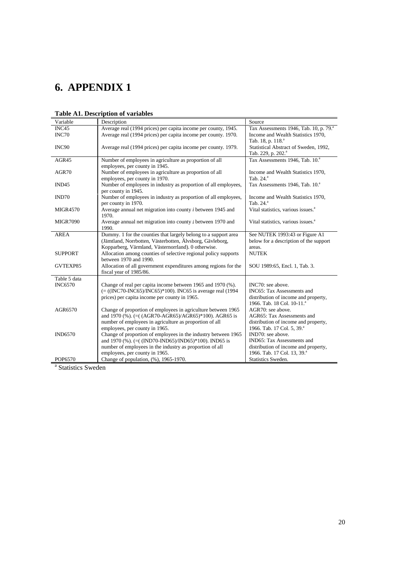# **6. APPENDIX 1**

| Variable          | Description                                                          | Source                                             |
|-------------------|----------------------------------------------------------------------|----------------------------------------------------|
| INC45             | Average real (1994 prices) per capita income per county, 1945.       | Tax Assessments 1946, Tab. 10, p. 79. <sup>a</sup> |
| INC70             | Average real (1994 prices) per capita income per county. 1970.       | Income and Wealth Statistics 1970,                 |
|                   |                                                                      | Tab. 18, p. 118. <sup>a</sup>                      |
| INC90             | Average real (1994 prices) per capita income per county. 1979.       | Statistical Abstract of Sweden, 1992,              |
|                   |                                                                      | Tab. 229, p. 202. <sup>a</sup>                     |
| AGR45             | Number of employees in agriculture as proportion of all              | Tax Assessments 1946, Tab. 10. <sup>a</sup>        |
|                   | employees, per county in 1945.                                       |                                                    |
| AGR70             | Number of employees in agriculture as proportion of all              | Income and Wealth Statistics 1970,                 |
|                   | employees, per county in 1970.                                       | Tab. 24. <sup>a</sup>                              |
| IND <sub>45</sub> | Number of employees in industry as proportion of all employees,      | Tax Assessments 1946, Tab. 10. <sup>a</sup>        |
|                   | per county in 1945.                                                  |                                                    |
| IND70             | Number of employees in industry as proportion of all employees,      | Income and Wealth Statistics 1970,                 |
|                   | per county in 1970.                                                  | Tab. 24. <sup>a</sup>                              |
| <b>MIGR4570</b>   | Average annual net migration into county <i>i</i> between 1945 and   | Vital statistics, various issues. <sup>a</sup>     |
|                   | 1970.                                                                |                                                    |
| <b>MIGR7090</b>   | Average annual net migration into county <i>i</i> between 1970 and   | Vital statistics, various issues. <sup>a</sup>     |
|                   | 1990.                                                                |                                                    |
| <b>AREA</b>       | Dummy. 1 for the counties that largely belong to a support area      | See NUTEK 1993:43 or Figure A1                     |
|                   | (Jämtland, Norrbotten, Västerbotten, Älvsborg, Gävleborg,            | below for a description of the support             |
|                   | Kopparberg, Värmland, Västernorrland). 0 otherwise.                  | areas.                                             |
| <b>SUPPORT</b>    | Allocation among counties of selective regional policy supports      | <b>NUTEK</b>                                       |
|                   | between 1970 and 1990.                                               |                                                    |
| GVTEXP85          | Allocation of all government expenditures among regions for the      | SOU 1989:65, Encl. 1, Tab. 3.                      |
|                   | fiscal year of 1985/86.                                              |                                                    |
| Table 5 data      |                                                                      |                                                    |
| <b>INC6570</b>    | Change of real per capita income between 1965 and 1970 (%).          | INC70: see above.                                  |
|                   | $(=(INC70-INC65)/INC65)*100)$ . INC65 is average real (1994)         | INC65: Tax Assessments and                         |
|                   | prices) per capita income per county in 1965.                        | distribution of income and property,               |
|                   |                                                                      | 1966. Tab. 18 Col. 10-11. <sup>a</sup>             |
| AGR6570           | Change of proportion of employees in agriculture between 1965        | AGR70: see above.                                  |
|                   | and 1970 $%$ ). (=( $(AGR70-AGR65)/AGR65$ )*100). AGR65 is           | AGR65: Tax Assessments and                         |
|                   | number of employees in agriculture as proportion of all              | distribution of income and property,               |
|                   | employees, per county in 1965.                                       | 1966. Tab. 17 Col. 5, 39.ª                         |
| <b>IND6570</b>    | Change of proportion of employees in the industry between 1965       | IND70: see above.                                  |
|                   | and 1970 (%). $(=(\text{IND70-IND65})/\text{IND65})*100$ ). IND65 is | IND65: Tax Assessments and                         |
|                   | number of employees in the industry as proportion of all             | distribution of income and property,               |
|                   | employees, per county in 1965.                                       | 1966. Tab. 17 Col. 13, 39.ª                        |
| POP6570           | Change of population, (%), 1965-1970.                                | Statistics Sweden.                                 |

### **Table A1. Description of variables**

<sup>a</sup> Statistics Sweden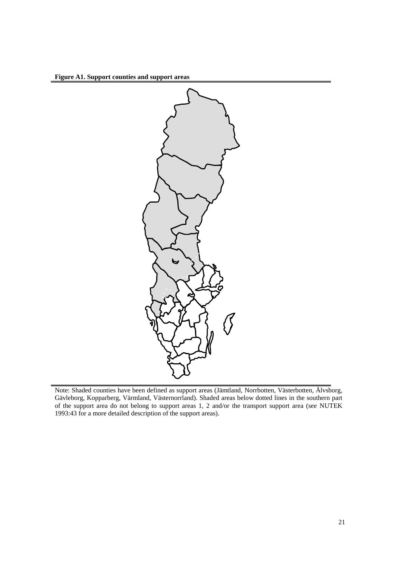**Figure A1. Support counties and support areas**



Note: Shaded counties have been defined as support areas (Jämtland, Norrbotten, Västerbotten, Älvsborg, Gävleborg, Kopparberg, Värmland, Västernorrland). Shaded areas below dotted lines in the southern part of the support area do not belong to support areas 1, 2 and/or the transport support area (see NUTEK 1993:43 for a more detailed description of the support areas).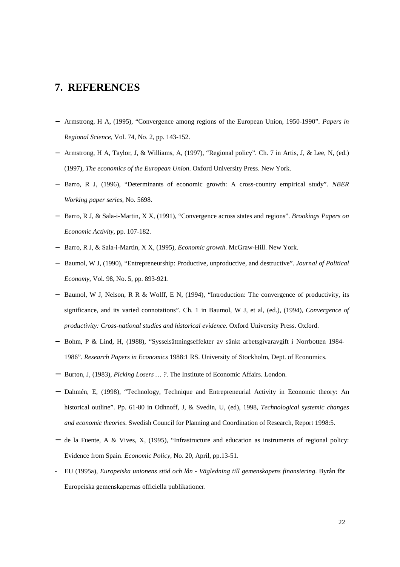### **7. REFERENCES**

- − Armstrong, H A, (1995), "Convergence among regions of the European Union, 1950-1990". *Papers in Regional Science*, Vol. 74, No. 2, pp. 143-152.
- − Armstrong, H A, Taylor, J, & Williams, A, (1997), "Regional policy". Ch. 7 in Artis, J, & Lee, N, (ed.) (1997), *The economics of the European Union*. Oxford University Press. New York.
- − Barro, R J, (1996), "Determinants of economic growth: A cross-country empirical study". *NBER Working paper series*, No. 5698.
- − Barro, R J, & Sala-i-Martin, X X, (1991), "Convergence across states and regions". *Brookings Papers on Economic Activity*, pp. 107-182.
- − Barro, R J, & Sala-i-Martin, X X, (1995), *Economic growth*. McGraw-Hill. New York.
- − Baumol, W J, (1990), "Entrepreneurship: Productive, unproductive, and destructive". *Journal of Political Economy*, Vol. 98, No. 5, pp. 893-921.
- − Baumol, W J, Nelson, R R & Wolff, E N, (1994), "Introduction: The convergence of productivity, its significance, and its varied connotations". Ch. 1 in Baumol, W J, et al, (ed.), (1994), *Convergence of productivity: Cross-national studies and historical evidence.* Oxford University Press. Oxford.
- − Bohm, P & Lind, H, (1988), "Sysselsättningseffekter av sänkt arbetsgivaravgift i Norrbotten 1984- 1986". *Research Papers in Economics* 1988:1 RS. University of Stockholm, Dept. of Economics.
- − Burton, J, (1983), *Picking Losers … ?*. The Institute of Economic Affairs. London.
- − Dahmén, E, (1998), "Technology, Technique and Entrepreneurial Activity in Economic theory: An historical outline". Pp. 61-80 in Odhnoff, J, & Svedin, U, (ed), 1998, *Technological systemic changes and economic theories*. Swedish Council for Planning and Coordination of Research, Report 1998:5.
- − de la Fuente, A & Vives, X, (1995), "Infrastructure and education as instruments of regional policy: Evidence from Spain. *Economic Policy*, No. 20, April, pp.13-51.
- EU (1995a), *Europeiska unionens stöd och lån Vägledning till gemenskapens finansiering*. Byrån för Europeiska gemenskapernas officiella publikationer.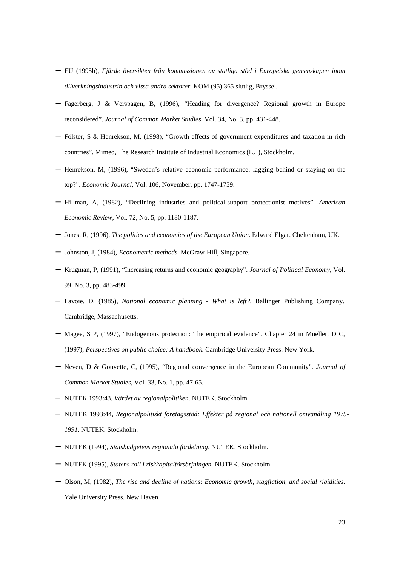- − EU (1995b), *Fjärde översikten från kommissionen av statliga stöd i Europeiska gemenskapen inom tillverkningsindustrin och vissa andra sektorer.* KOM (95) 365 slutlig, Bryssel.
- − Fagerberg, J & Verspagen, B, (1996), "Heading for divergence? Regional growth in Europe reconsidered". *Journal of Common Market Studies*, Vol. 34, No. 3, pp. 431-448.
- − Fölster, S & Henrekson, M, (1998), "Growth effects of government expenditures and taxation in rich countries". Mimeo, The Research Institute of Industrial Economics (IUI), Stockholm.
- − Henrekson, M, (1996), "Sweden's relative economic performance: lagging behind or staying on the top?". *Economic Journal*, Vol. 106, November, pp. 1747-1759.
- − Hillman, A, (1982), "Declining industries and political-support protectionist motives". *American Economic Review*, Vol. 72, No. 5, pp. 1180-1187.
- − Jones, R, (1996), *The politics and economics of the European Union*. Edward Elgar. Cheltenham, UK.
- − Johnston, J, (1984), *Econometric methods*. McGraw-Hill, Singapore.
- − Krugman, P, (1991), "Increasing returns and economic geography". *Journal of Political Economy*, Vol. 99, No. 3, pp. 483-499.
- − Lavoie, D, (1985), *National economic planning What is left?*. Ballinger Publishing Company. Cambridge, Massachusetts.
- − Magee, S P, (1997), "Endogenous protection: The empirical evidence". Chapter 24 in Mueller, D C, (1997), *Perspectives on public choice: A handbook*. Cambridge University Press. New York.
- − Neven, D & Gouyette, C, (1995), "Regional convergence in the European Community". *Journal of Common Market Studies*, Vol. 33, No. 1, pp. 47-65.
- − NUTEK 1993:43, *Värdet av regionalpolitiken*. NUTEK. Stockholm.
- − NUTEK 1993:44, *Regionalpolitiskt företagsstöd: Effekter på regional och nationell omvandling 1975- 1991*. NUTEK. Stockholm.
- − NUTEK (1994), *Statsbudgetens regionala fördelning*. NUTEK. Stockholm.
- − NUTEK (1995), *Statens roll i riskkapitalförsörjningen*. NUTEK. Stockholm.
- − Olson, M, (1982), *The rise and decline of nations: Economic growth, stagflation, and social rigidities*. Yale University Press. New Haven.